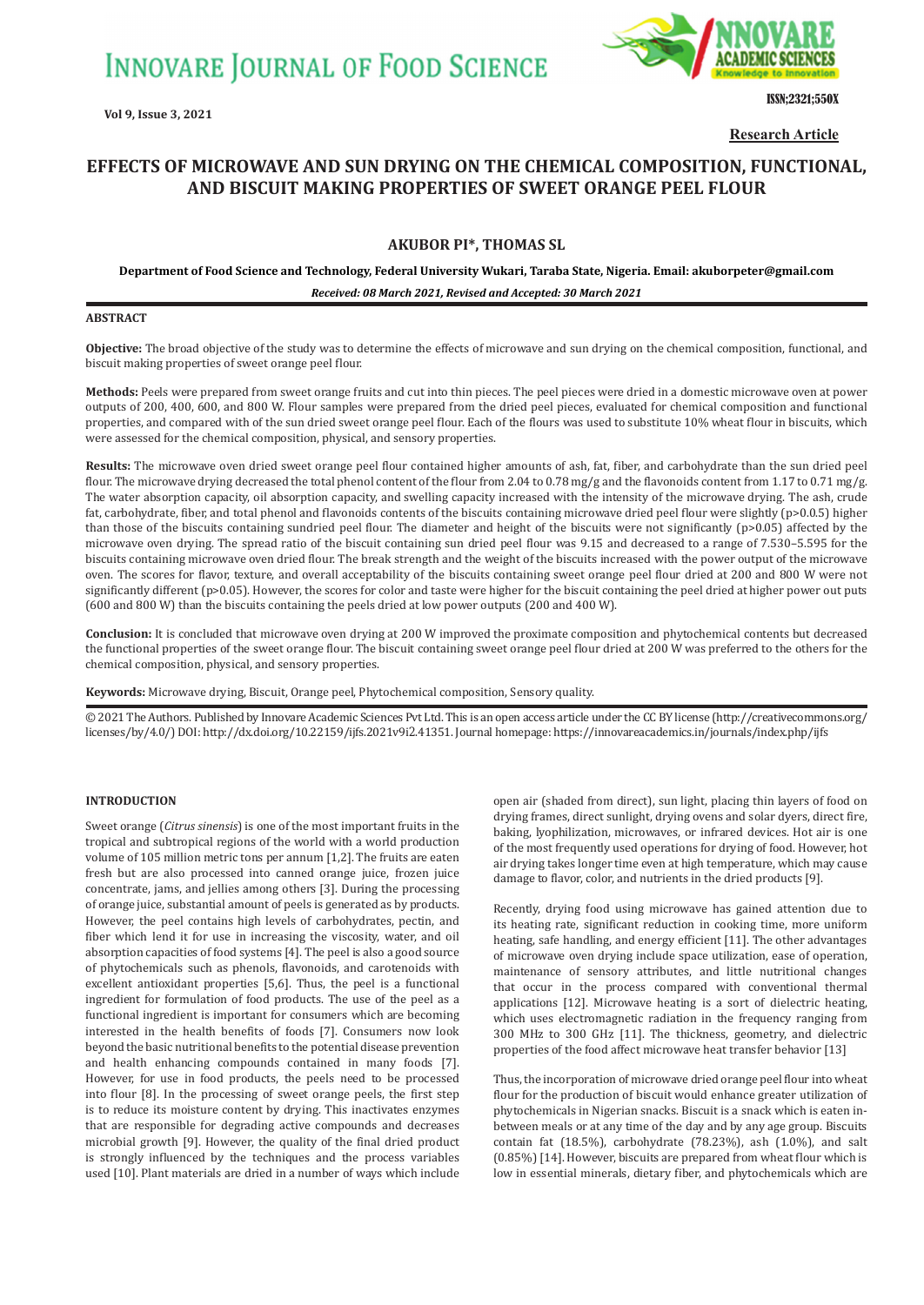

ISSN;2321;550X

**Research Article**

# **EFFECTS OF MICROWAVE AND SUN DRYING ON THE CHEMICAL COMPOSITION, FUNCTIONAL, AND BISCUIT MAKING PROPERTIES OF SWEET ORANGE PEEL FLOUR**

## **AKUBOR PI\*, THOMAS SL**

**Department of Food Science and Technology, Federal University Wukari, Taraba State, Nigeria. Email: akuborpeter@gmail.com**

*Received: 08 March 2021, Revised and Accepted: 30 March 2021*

## **ABSTRACT**

**Objective:** The broad objective of the study was to determine the effects of microwave and sun drying on the chemical composition, functional, and biscuit making properties of sweet orange peel flour.

**Methods:** Peels were prepared from sweet orange fruits and cut into thin pieces. The peel pieces were dried in a domestic microwave oven at power outputs of 200, 400, 600, and 800 W. Flour samples were prepared from the dried peel pieces, evaluated for chemical composition and functional properties, and compared with of the sun dried sweet orange peel flour. Each of the flours was used to substitute 10% wheat flour in biscuits, which were assessed for the chemical composition, physical, and sensory properties.

**Results:** The microwave oven dried sweet orange peel flour contained higher amounts of ash, fat, fiber, and carbohydrate than the sun dried peel flour. The microwave drying decreased the total phenol content of the flour from 2.04 to 0.78 mg/g and the flavonoids content from 1.17 to 0.71 mg/g. The water absorption capacity, oil absorption capacity, and swelling capacity increased with the intensity of the microwave drying. The ash, crude fat, carbohydrate, fiber, and total phenol and flavonoids contents of the biscuits containing microwave dried peel flour were slightly (p>0.0.5) higher than those of the biscuits containing sundried peel flour. The diameter and height of the biscuits were not significantly (p>0.05) affected by the microwave oven drying. The spread ratio of the biscuit containing sun dried peel flour was 9.15 and decreased to a range of 7.530–5.595 for the biscuits containing microwave oven dried flour. The break strength and the weight of the biscuits increased with the power output of the microwave oven. The scores for flavor, texture, and overall acceptability of the biscuits containing sweet orange peel flour dried at 200 and 800 W were not significantly different (p>0.05). However, the scores for color and taste were higher for the biscuit containing the peel dried at higher power out puts (600 and 800 W) than the biscuits containing the peels dried at low power outputs (200 and 400 W).

**Conclusion:** It is concluded that microwave oven drying at 200 W improved the proximate composition and phytochemical contents but decreased the functional properties of the sweet orange flour. The biscuit containing sweet orange peel flour dried at 200 W was preferred to the others for the chemical composition, physical, and sensory properties.

**Keywords:** Microwave drying, Biscuit, Orange peel, Phytochemical composition, Sensory quality.

© 2021 The Authors. Published by Innovare Academic Sciences Pvt Ltd. This is an open access article under the CC BY license (http://creativecommons.org/ licenses/by/4.0/) DOI: http://dx.doi.org/10.22159/ijfs.2021v9i2.41351. Journal homepage: https://innovareacademics.in/journals/index.php/ijfs

## **INTRODUCTION**

Sweet orange (*Citrus sinensis*) is one of the most important fruits in the tropical and subtropical regions of the world with a world production volume of 105 million metric tons per annum [1,2]. The fruits are eaten fresh but are also processed into canned orange juice, frozen juice concentrate, jams, and jellies among others [3]. During the processing of orange juice, substantial amount of peels is generated as by products. However, the peel contains high levels of carbohydrates, pectin, and fiber which lend it for use in increasing the viscosity, water, and oil absorption capacities of food systems [4]. The peel is also a good source of phytochemicals such as phenols, flavonoids, and carotenoids with excellent antioxidant properties [5,6]. Thus, the peel is a functional ingredient for formulation of food products. The use of the peel as a functional ingredient is important for consumers which are becoming interested in the health benefits of foods [7]. Consumers now look beyond the basic nutritional benefits to the potential disease prevention and health enhancing compounds contained in many foods [7]. However, for use in food products, the peels need to be processed into flour [8]. In the processing of sweet orange peels, the first step is to reduce its moisture content by drying. This inactivates enzymes that are responsible for degrading active compounds and decreases microbial growth [9]. However, the quality of the final dried product is strongly influenced by the techniques and the process variables used [10]. Plant materials are dried in a number of ways which include open air (shaded from direct), sun light, placing thin layers of food on drying frames, direct sunlight, drying ovens and solar dyers, direct fire, baking, lyophilization, microwaves, or infrared devices. Hot air is one of the most frequently used operations for drying of food. However, hot air drying takes longer time even at high temperature, which may cause damage to flavor, color, and nutrients in the dried products [9].

Recently, drying food using microwave has gained attention due to its heating rate, significant reduction in cooking time, more uniform heating, safe handling, and energy efficient [11]. The other advantages of microwave oven drying include space utilization, ease of operation, maintenance of sensory attributes, and little nutritional changes that occur in the process compared with conventional thermal applications [12]. Microwave heating is a sort of dielectric heating, which uses electromagnetic radiation in the frequency ranging from 300 MHz to 300 GHz [11]. The thickness, geometry, and dielectric properties of the food affect microwave heat transfer behavior [13]

Thus, the incorporation of microwave dried orange peel flour into wheat flour for the production of biscuit would enhance greater utilization of phytochemicals in Nigerian snacks. Biscuit is a snack which is eaten inbetween meals or at any time of the day and by any age group. Biscuits contain fat (18.5%), carbohydrate (78.23%), ash (1.0%), and salt (0.85%) [14]. However, biscuits are prepared from wheat flour which is low in essential minerals, dietary fiber, and phytochemicals which are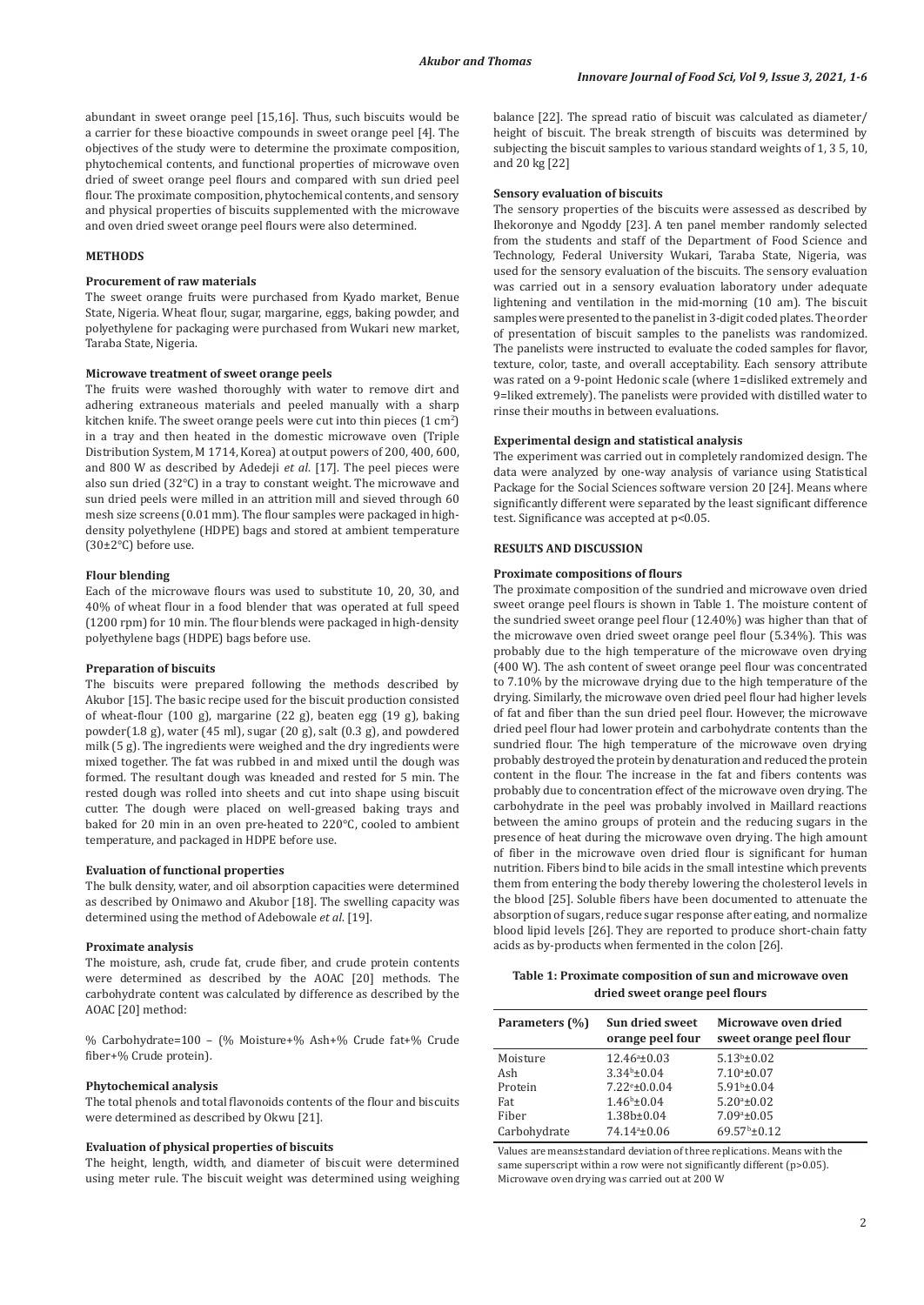abundant in sweet orange peel [15,16]. Thus, such biscuits would be a carrier for these bioactive compounds in sweet orange peel [4]. The objectives of the study were to determine the proximate composition, phytochemical contents, and functional properties of microwave oven dried of sweet orange peel flours and compared with sun dried peel flour. The proximate composition, phytochemical contents, and sensory and physical properties of biscuits supplemented with the microwave and oven dried sweet orange peel flours were also determined.

#### **METHODS**

## **Procurement of raw materials**

The sweet orange fruits were purchased from Kyado market, Benue State, Nigeria. Wheat flour, sugar, margarine, eggs, baking powder, and polyethylene for packaging were purchased from Wukari new market, Taraba State, Nigeria.

#### **Microwave treatment of sweet orange peels**

The fruits were washed thoroughly with water to remove dirt and adhering extraneous materials and peeled manually with a sharp kitchen knife. The sweet orange peels were cut into thin pieces  $(1 \text{ cm}^2)$ in a tray and then heated in the domestic microwave oven (Triple Distribution System, M 1714, Korea) at output powers of 200, 400, 600, and 800 W as described by Adedeji *et al*. [17]. The peel pieces were also sun dried (32°C) in a tray to constant weight. The microwave and sun dried peels were milled in an attrition mill and sieved through 60 mesh size screens (0.01 mm). The flour samples were packaged in highdensity polyethylene (HDPE) bags and stored at ambient temperature (30±2°C) before use.

#### **Flour blending**

Each of the microwave flours was used to substitute 10, 20, 30, and 40% of wheat flour in a food blender that was operated at full speed (1200 rpm) for 10 min. The flour blends were packaged in high-density polyethylene bags (HDPE) bags before use.

#### **Preparation of biscuits**

The biscuits were prepared following the methods described by Akubor [15]. The basic recipe used for the biscuit production consisted of wheat-flour (100 g), margarine (22 g), beaten egg (19 g), baking powder(1.8 g), water (45 ml), sugar (20 g), salt (0.3 g), and powdered milk (5 g). The ingredients were weighed and the dry ingredients were mixed together. The fat was rubbed in and mixed until the dough was formed. The resultant dough was kneaded and rested for 5 min. The rested dough was rolled into sheets and cut into shape using biscuit cutter. The dough were placed on well-greased baking trays and baked for 20 min in an oven pre-heated to 220°C, cooled to ambient temperature, and packaged in HDPE before use.

## **Evaluation of functional properties**

The bulk density, water, and oil absorption capacities were determined as described by Onimawo and Akubor [18]. The swelling capacity was determined using the method of Adebowale *et al*. [19].

#### **Proximate analysis**

The moisture, ash, crude fat, crude fiber, and crude protein contents were determined as described by the AOAC [20] methods. The carbohydrate content was calculated by difference as described by the AOAC [20] method:

% Carbohydrate=100 – (% Moisture+% Ash+% Crude fat+% Crude fiber+% Crude protein).

#### **Phytochemical analysis**

The total phenols and total flavonoids contents of the flour and biscuits were determined as described by Okwu [21].

#### **Evaluation of physical properties of biscuits**

The height, length, width, and diameter of biscuit were determined using meter rule. The biscuit weight was determined using weighing balance [22]. The spread ratio of biscuit was calculated as diameter/ height of biscuit. The break strength of biscuits was determined by subjecting the biscuit samples to various standard weights of 1, 3 5, 10, and 20 kg [22]

## **Sensory evaluation of biscuits**

The sensory properties of the biscuits were assessed as described by Ihekoronye and Ngoddy [23]. A ten panel member randomly selected from the students and staff of the Department of Food Science and Technology, Federal University Wukari, Taraba State, Nigeria, was used for the sensory evaluation of the biscuits. The sensory evaluation was carried out in a sensory evaluation laboratory under adequate lightening and ventilation in the mid-morning (10 am). The biscuit samples were presented to the panelist in 3-digit coded plates. The order of presentation of biscuit samples to the panelists was randomized. The panelists were instructed to evaluate the coded samples for flavor, texture, color, taste, and overall acceptability. Each sensory attribute was rated on a 9-point Hedonic scale (where 1=disliked extremely and 9=liked extremely). The panelists were provided with distilled water to rinse their mouths in between evaluations.

#### **Experimental design and statistical analysis**

The experiment was carried out in completely randomized design. The data were analyzed by one-way analysis of variance using Statistical Package for the Social Sciences software version 20 [24]. Means where significantly different were separated by the least significant difference test. Significance was accepted at p<0.05.

## **RESULTS AND DISCUSSION**

#### **Proximate compositions of flours**

The proximate composition of the sundried and microwave oven dried sweet orange peel flours is shown in Table 1. The moisture content of the sundried sweet orange peel flour (12.40%) was higher than that of the microwave oven dried sweet orange peel flour (5.34%). This was probably due to the high temperature of the microwave oven drying (400 W). The ash content of sweet orange peel flour was concentrated to 7.10% by the microwave drying due to the high temperature of the drying. Similarly, the microwave oven dried peel flour had higher levels of fat and fiber than the sun dried peel flour. However, the microwave dried peel flour had lower protein and carbohydrate contents than the sundried flour. The high temperature of the microwave oven drying probably destroyed the protein by denaturation and reduced the protein content in the flour. The increase in the fat and fibers contents was probably due to concentration effect of the microwave oven drying. The carbohydrate in the peel was probably involved in Maillard reactions between the amino groups of protein and the reducing sugars in the presence of heat during the microwave oven drying. The high amount of fiber in the microwave oven dried flour is significant for human nutrition. Fibers bind to bile acids in the small intestine which prevents them from entering the body thereby lowering the cholesterol levels in the blood [25]. Soluble fibers have been documented to attenuate the absorption of sugars, reduce sugar response after eating, and normalize blood lipid levels [26]. They are reported to produce short-chain fatty acids as by-products when fermented in the colon [26].

## **Table 1: Proximate composition of sun and microwave oven dried sweet orange peel flours**

| Parameters (%) | <b>Sun dried sweet</b><br>orange peel four | Microwave oven dried<br>sweet orange peel flour |
|----------------|--------------------------------------------|-------------------------------------------------|
| Moisture       | $12.46^a \pm 0.03$                         | $5.13b \pm 0.02$                                |
| Ash            | $3.34b \pm 0.04$                           | $7.10^a \pm 0.07$                               |
| Protein        | $7.22e \pm 0.0.04$                         | $5.91b \pm 0.04$                                |
| Fat            | $1.46b \pm 0.04$                           | $5.20a_{\pm}0.02$                               |
| Fiber          | $1.38b \pm 0.04$                           | $7.09a \pm 0.05$                                |
| Carbohydrate   | 74.14 <sup>a</sup> ±0.06                   | $69.57b \pm 0.12$                               |

Values are means±standard deviation of three replications. Means with the same superscript within a row were not significantly different (p>0.05). Microwave oven drying was carried out at 200 W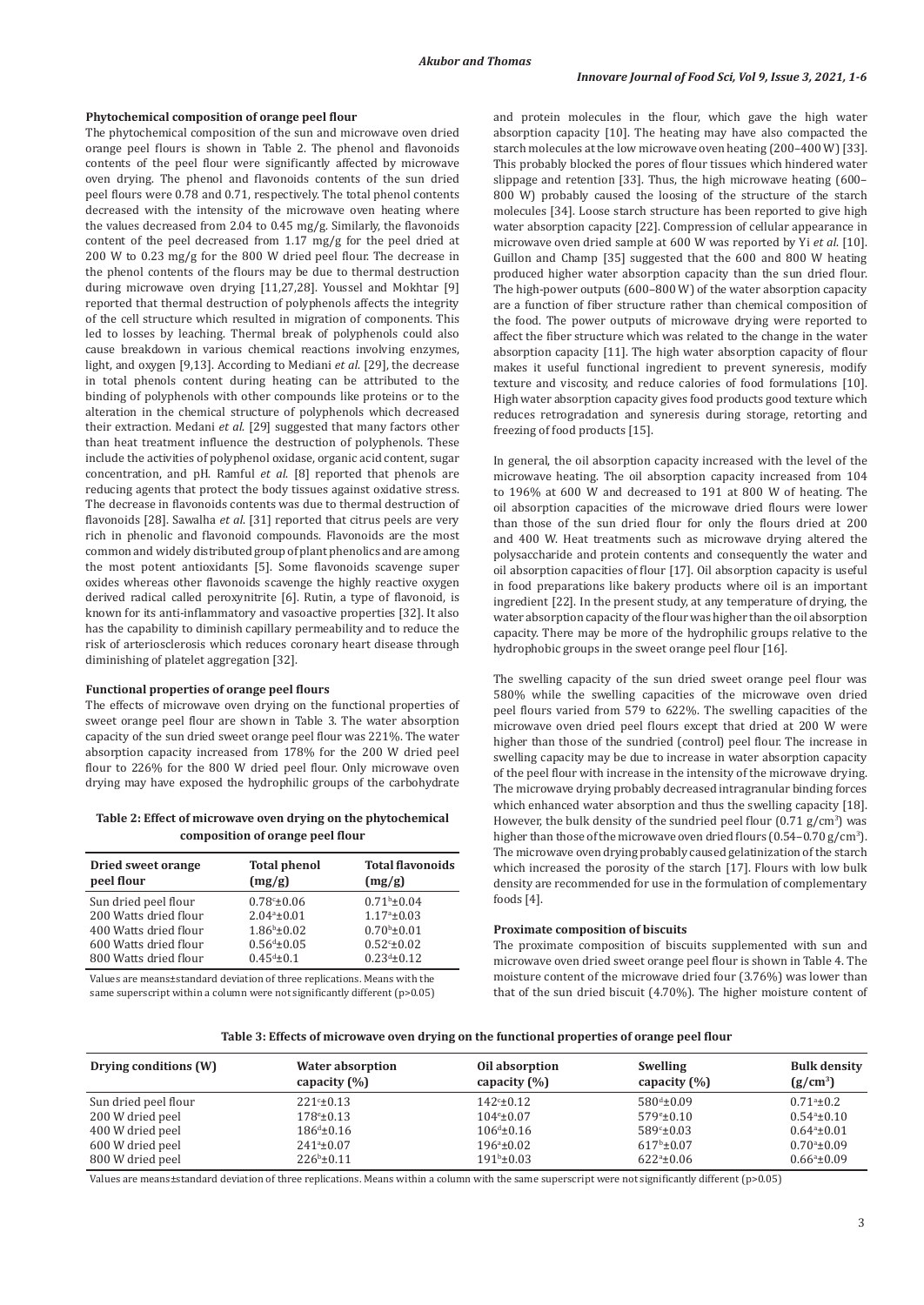#### **Phytochemical composition of orange peel flour**

The phytochemical composition of the sun and microwave oven dried orange peel flours is shown in Table 2. The phenol and flavonoids contents of the peel flour were significantly affected by microwave oven drying. The phenol and flavonoids contents of the sun dried peel flours were 0.78 and 0.71, respectively. The total phenol contents decreased with the intensity of the microwave oven heating where the values decreased from 2.04 to 0.45 mg/g. Similarly, the flavonoids content of the peel decreased from 1.17 mg/g for the peel dried at 200 W to 0.23 mg/g for the 800 W dried peel flour. The decrease in the phenol contents of the flours may be due to thermal destruction during microwave oven drying [11,27,28]. Youssel and Mokhtar [9] reported that thermal destruction of polyphenols affects the integrity of the cell structure which resulted in migration of components. This led to losses by leaching. Thermal break of polyphenols could also cause breakdown in various chemical reactions involving enzymes, light, and oxygen [9,13]. According to Mediani *et al*. [29], the decrease in total phenols content during heating can be attributed to the binding of polyphenols with other compounds like proteins or to the alteration in the chemical structure of polyphenols which decreased their extraction. Medani *et al*. [29] suggested that many factors other than heat treatment influence the destruction of polyphenols. These include the activities of polyphenol oxidase, organic acid content, sugar concentration, and pH. Ramful *et al*. [8] reported that phenols are reducing agents that protect the body tissues against oxidative stress. The decrease in flavonoids contents was due to thermal destruction of flavonoids [28]. Sawalha *et al*. [31] reported that citrus peels are very rich in phenolic and flavonoid compounds. Flavonoids are the most common and widely distributed group of plant phenolics and are among the most potent antioxidants [5]. Some flavonoids scavenge super oxides whereas other flavonoids scavenge the highly reactive oxygen derived radical called peroxynitrite [6]. Rutin, a type of flavonoid, is known for its anti-inflammatory and vasoactive properties [32]. It also has the capability to diminish capillary permeability and to reduce the risk of arteriosclerosis which reduces coronary heart disease through diminishing of platelet aggregation [32].

#### **Functional properties of orange peel flours**

The effects of microwave oven drying on the functional properties of sweet orange peel flour are shown in Table 3. The water absorption capacity of the sun dried sweet orange peel flour was 221%. The water absorption capacity increased from 178% for the 200 W dried peel flour to 226% for the 800 W dried peel flour. Only microwave oven drying may have exposed the hydrophilic groups of the carbohydrate

**Table 2: Effect of microwave oven drying on the phytochemical composition of orange peel flour**

| Dried sweet orange<br>peel flour | <b>Total phenol</b><br>(mg/g) | <b>Total flavonoids</b><br>(mg/g) |
|----------------------------------|-------------------------------|-----------------------------------|
| Sun dried peel flour             | $0.78 - 0.06$                 | $0.71b \pm 0.04$                  |
| 200 Watts dried flour            | $2.04a_{\pm}0.01$             | $1.17^{\circ}$ ±0.03              |
| 400 Watts dried flour            | $1.86b \pm 0.02$              | $0.70^{b} \pm 0.01$               |
| 600 Watts dried flour            | $0.56^{d}$ ±0.05              | $0.52c \pm 0.02$                  |
| 800 Watts dried flour            | $0.45^{d}$ ±0.1               | $0.23^{d}$ ±0.12                  |

Values are means±standard deviation of three replications. Means with the same superscript within a column were not significantly different (p>0.05) and protein molecules in the flour, which gave the high water absorption capacity [10]. The heating may have also compacted the starch molecules at the low microwave oven heating (200–400 W) [33]. This probably blocked the pores of flour tissues which hindered water slippage and retention [33]. Thus, the high microwave heating (600– 800 W) probably caused the loosing of the structure of the starch molecules [34]. Loose starch structure has been reported to give high water absorption capacity [22]. Compression of cellular appearance in microwave oven dried sample at 600 W was reported by Yi *et al*. [10]. Guillon and Champ [35] suggested that the 600 and 800 W heating produced higher water absorption capacity than the sun dried flour. The high-power outputs (600–800 W) of the water absorption capacity are a function of fiber structure rather than chemical composition of the food. The power outputs of microwave drying were reported to affect the fiber structure which was related to the change in the water absorption capacity [11]. The high water absorption capacity of flour makes it useful functional ingredient to prevent syneresis, modify texture and viscosity, and reduce calories of food formulations [10]. High water absorption capacity gives food products good texture which reduces retrogradation and syneresis during storage, retorting and freezing of food products [15].

In general, the oil absorption capacity increased with the level of the microwave heating. The oil absorption capacity increased from 104 to 196% at 600 W and decreased to 191 at 800 W of heating. The oil absorption capacities of the microwave dried flours were lower than those of the sun dried flour for only the flours dried at 200 and 400 W. Heat treatments such as microwave drying altered the polysaccharide and protein contents and consequently the water and oil absorption capacities of flour [17]. Oil absorption capacity is useful in food preparations like bakery products where oil is an important ingredient [22]. In the present study, at any temperature of drying, the water absorption capacity of the flour was higher than the oil absorption capacity. There may be more of the hydrophilic groups relative to the hydrophobic groups in the sweet orange peel flour [16].

The swelling capacity of the sun dried sweet orange peel flour was 580% while the swelling capacities of the microwave oven dried peel flours varied from 579 to 622%. The swelling capacities of the microwave oven dried peel flours except that dried at 200 W were higher than those of the sundried (control) peel flour. The increase in swelling capacity may be due to increase in water absorption capacity of the peel flour with increase in the intensity of the microwave drying. The microwave drying probably decreased intragranular binding forces which enhanced water absorption and thus the swelling capacity [18]. However, the bulk density of the sundried peel flour  $(0.71 \text{ g/cm}^3)$  was higher than those of the microwave oven dried flours ( $0.54-0.70$  g/cm<sup>3</sup>). The microwave oven drying probably caused gelatinization of the starch which increased the porosity of the starch [17]. Flours with low bulk density are recommended for use in the formulation of complementary foods [4].

#### **Proximate composition of biscuits**

The proximate composition of biscuits supplemented with sun and microwave oven dried sweet orange peel flour is shown in Table 4. The moisture content of the microwave dried four (3.76%) was lower than that of the sun dried biscuit (4.70%). The higher moisture content of

| Table 3: Effects of microwave oven drying on the functional properties of orange peel flour |  |  |
|---------------------------------------------------------------------------------------------|--|--|
|---------------------------------------------------------------------------------------------|--|--|

| Drying conditions (W) | Water absorption    | Oil absorption            | <b>Swelling</b>        | <b>Bulk density</b>     |
|-----------------------|---------------------|---------------------------|------------------------|-------------------------|
|                       | capacity $(\% )$    | capacity $(\% )$          | capacity $(\% )$       | $(g/cm^3)$              |
| Sun dried peel flour  | $221°+0.13$         | $142^{\circ}$ ±0.12       | $580^{d} \pm 0.09$     | $0.71^{\circ}$ ±0.2     |
| 200 W dried peel      | $178^{\circ}$ ±0.13 | $104^{\circ} \pm 0.07$    | $579° \pm 0.10$        | $0.54^{\circ}$ ± $0.10$ |
| 400 W dried peel      | $186^{d} \pm 0.16$  | $106^{\text{d}} \pm 0.16$ | $589° \pm 0.03$        | $0.64^a \pm 0.01$       |
| 600 W dried peel      | $241^a \pm 0.07$    | $196^{\circ}$ ±0.02       | $617^{\rm b} \pm 0.07$ | $0.70^{\circ}$ ±0.09    |
| 800 W dried peel      | $226^b \pm 0.11$    | $191^{\rm b} \pm 0.03$    | $622a \pm 0.06$        | $0.66^{\circ}$ ±0.09    |

Values are means±standard deviation of three replications. Means within a column with the same superscript were not significantly different (p>0.05)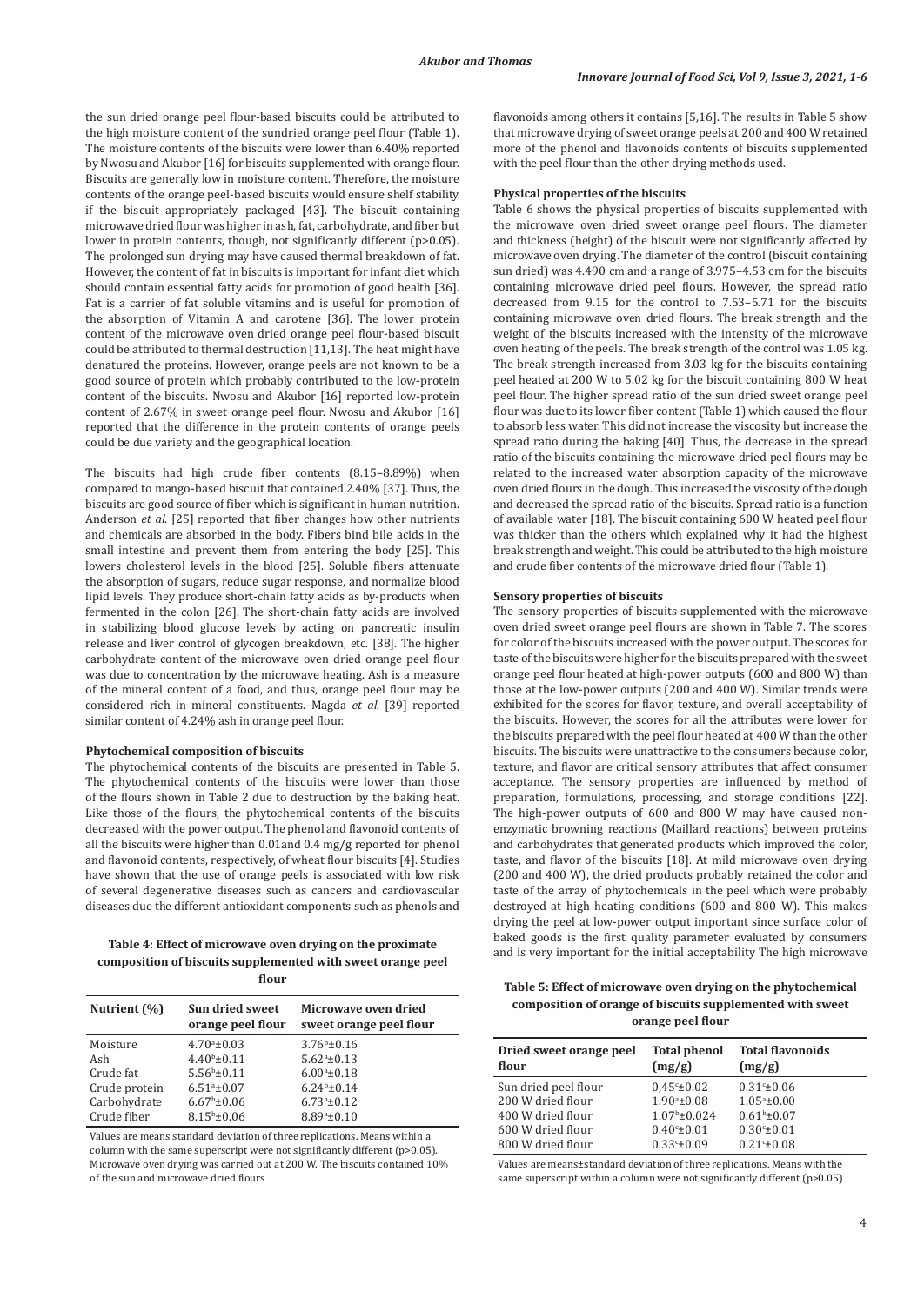the sun dried orange peel flour-based biscuits could be attributed to the high moisture content of the sundried orange peel flour (Table 1). The moisture contents of the biscuits were lower than 6.40% reported by Nwosu and Akubor [16] for biscuits supplemented with orange flour. Biscuits are generally low in moisture content. Therefore, the moisture contents of the orange peel-based biscuits would ensure shelf stability if the biscuit appropriately packaged [43]. The biscuit containing microwave dried flour was higher in ash, fat, carbohydrate, and fiber but lower in protein contents, though, not significantly different (p>0.05). The prolonged sun drying may have caused thermal breakdown of fat. However, the content of fat in biscuits is important for infant diet which should contain essential fatty acids for promotion of good health [36]. Fat is a carrier of fat soluble vitamins and is useful for promotion of the absorption of Vitamin A and carotene [36]. The lower protein content of the microwave oven dried orange peel flour-based biscuit could be attributed to thermal destruction [11,13]. The heat might have denatured the proteins. However, orange peels are not known to be a good source of protein which probably contributed to the low-protein content of the biscuits. Nwosu and Akubor [16] reported low-protein content of 2.67% in sweet orange peel flour. Nwosu and Akubor [16] reported that the difference in the protein contents of orange peels could be due variety and the geographical location.

The biscuits had high crude fiber contents (8.15–8.89%) when compared to mango-based biscuit that contained 2.40% [37]. Thus, the biscuits are good source of fiber which is significant in human nutrition. Anderson *et al*. [25] reported that fiber changes how other nutrients and chemicals are absorbed in the body. Fibers bind bile acids in the small intestine and prevent them from entering the body [25]. This lowers cholesterol levels in the blood [25]. Soluble fibers attenuate the absorption of sugars, reduce sugar response, and normalize blood lipid levels. They produce short-chain fatty acids as by-products when fermented in the colon [26]. The short-chain fatty acids are involved in stabilizing blood glucose levels by acting on pancreatic insulin release and liver control of glycogen breakdown, etc. [38]. The higher carbohydrate content of the microwave oven dried orange peel flour was due to concentration by the microwave heating. Ash is a measure of the mineral content of a food, and thus, orange peel flour may be considered rich in mineral constituents. Magda *et al*. [39] reported similar content of 4.24% ash in orange peel flour.

## **Phytochemical composition of biscuits**

The phytochemical contents of the biscuits are presented in Table 5. The phytochemical contents of the biscuits were lower than those of the flours shown in Table 2 due to destruction by the baking heat. Like those of the flours, the phytochemical contents of the biscuits decreased with the power output. The phenol and flavonoid contents of all the biscuits were higher than 0.01and 0.4 mg/g reported for phenol and flavonoid contents, respectively, of wheat flour biscuits [4]. Studies have shown that the use of orange peels is associated with low risk of several degenerative diseases such as cancers and cardiovascular diseases due the different antioxidant components such as phenols and

## **Table 4: Effect of microwave oven drying on the proximate composition of biscuits supplemented with sweet orange peel flour**

| Nutrient $(\%)$ | Sun dried sweet<br>orange peel flour | Microwave oven dried<br>sweet orange peel flour |
|-----------------|--------------------------------------|-------------------------------------------------|
| Moisture        | $4.70a \pm 0.03$                     | $3.76b \pm 0.16$                                |
| Ash             | $4.40b \pm 0.11$                     | $5.62a \pm 0.13$                                |
| Crude fat       | $5.56^b \pm 0.11$                    | $6.00a_{\pm}0.18$                               |
| Crude protein   | $6.51^a \pm 0.07$                    | $6.24b \pm 0.14$                                |
| Carbohydrate    | $6.67^{\rm b}$ ±0.06                 | $6.73a_{\pm}0.12$                               |
| Crude fiber     | $8.15^{b} \pm 0.06$                  | $8.89a \pm 0.10$                                |

Values are means standard deviation of three replications. Means within a column with the same superscript were not significantly different  $(p>0.05)$ . Microwave oven drying was carried out at 200 W. The biscuits contained 10% of the sun and microwave dried flours

flavonoids among others it contains [5,16]. The results in Table 5 show that microwave drying of sweet orange peels at 200 and 400 W retained more of the phenol and flavonoids contents of biscuits supplemented with the peel flour than the other drying methods used.

#### **Physical properties of the biscuits**

Table 6 shows the physical properties of biscuits supplemented with the microwave oven dried sweet orange peel flours. The diameter and thickness (height) of the biscuit were not significantly affected by microwave oven drying. The diameter of the control (biscuit containing sun dried) was 4.490 cm and a range of 3.975–4.53 cm for the biscuits containing microwave dried peel flours. However, the spread ratio decreased from 9.15 for the control to 7.53–5.71 for the biscuits containing microwave oven dried flours. The break strength and the weight of the biscuits increased with the intensity of the microwave oven heating of the peels. The break strength of the control was 1.05 kg. The break strength increased from 3.03 kg for the biscuits containing peel heated at 200 W to 5.02 kg for the biscuit containing 800 W heat peel flour. The higher spread ratio of the sun dried sweet orange peel flour was due to its lower fiber content (Table 1) which caused the flour to absorb less water. This did not increase the viscosity but increase the spread ratio during the baking [40]. Thus, the decrease in the spread ratio of the biscuits containing the microwave dried peel flours may be related to the increased water absorption capacity of the microwave oven dried flours in the dough. This increased the viscosity of the dough and decreased the spread ratio of the biscuits. Spread ratio is a function of available water [18]. The biscuit containing 600 W heated peel flour was thicker than the others which explained why it had the highest break strength and weight. This could be attributed to the high moisture and crude fiber contents of the microwave dried flour (Table 1).

#### **Sensory properties of biscuits**

The sensory properties of biscuits supplemented with the microwave oven dried sweet orange peel flours are shown in Table 7. The scores for color of the biscuits increased with the power output. The scores for taste of the biscuits were higher for the biscuits prepared with the sweet orange peel flour heated at high-power outputs (600 and 800 W) than those at the low-power outputs (200 and 400 W). Similar trends were exhibited for the scores for flavor, texture, and overall acceptability of the biscuits. However, the scores for all the attributes were lower for the biscuits prepared with the peel flour heated at 400 W than the other biscuits. The biscuits were unattractive to the consumers because color, texture, and flavor are critical sensory attributes that affect consumer acceptance. The sensory properties are influenced by method of preparation, formulations, processing, and storage conditions [22]. The high-power outputs of 600 and 800 W may have caused nonenzymatic browning reactions (Maillard reactions) between proteins and carbohydrates that generated products which improved the color, taste, and flavor of the biscuits [18]. At mild microwave oven drying (200 and 400 W), the dried products probably retained the color and taste of the array of phytochemicals in the peel which were probably destroyed at high heating conditions (600 and 800 W). This makes drying the peel at low-power output important since surface color of baked goods is the first quality parameter evaluated by consumers and is very important for the initial acceptability The high microwave

**Table 5: Effect of microwave oven drying on the phytochemical composition of orange of biscuits supplemented with sweet orange peel flour**

| Dried sweet orange peel | <b>Total phenol</b>     | <b>Total flavonoids</b> |
|-------------------------|-------------------------|-------------------------|
| flour                   | (mg/g)                  | (mg/g)                  |
| Sun dried peel flour    | $0.45^{\circ} \pm 0.02$ | $0.31c_{\pm}0.06$       |
| 200 W dried flour       | $1.90^a \pm 0.08$       | $1.05^{\circ}$ ±0.00    |
| 400 W dried flour       | $1.07^{\rm b}$ ±0.024   | $0.61b \pm 0.07$        |
| 600 W dried flour       | $0.40^{\circ}$ ±0.01    | $0.30^{\circ}$ ±0.01    |
| 800 W dried flour       | $0.33c \pm 0.09$        | $0.21c_{\pm}0.08$       |

Values are means±standard deviation of three replications. Means with the same superscript within a column were not significantly different (p>0.05)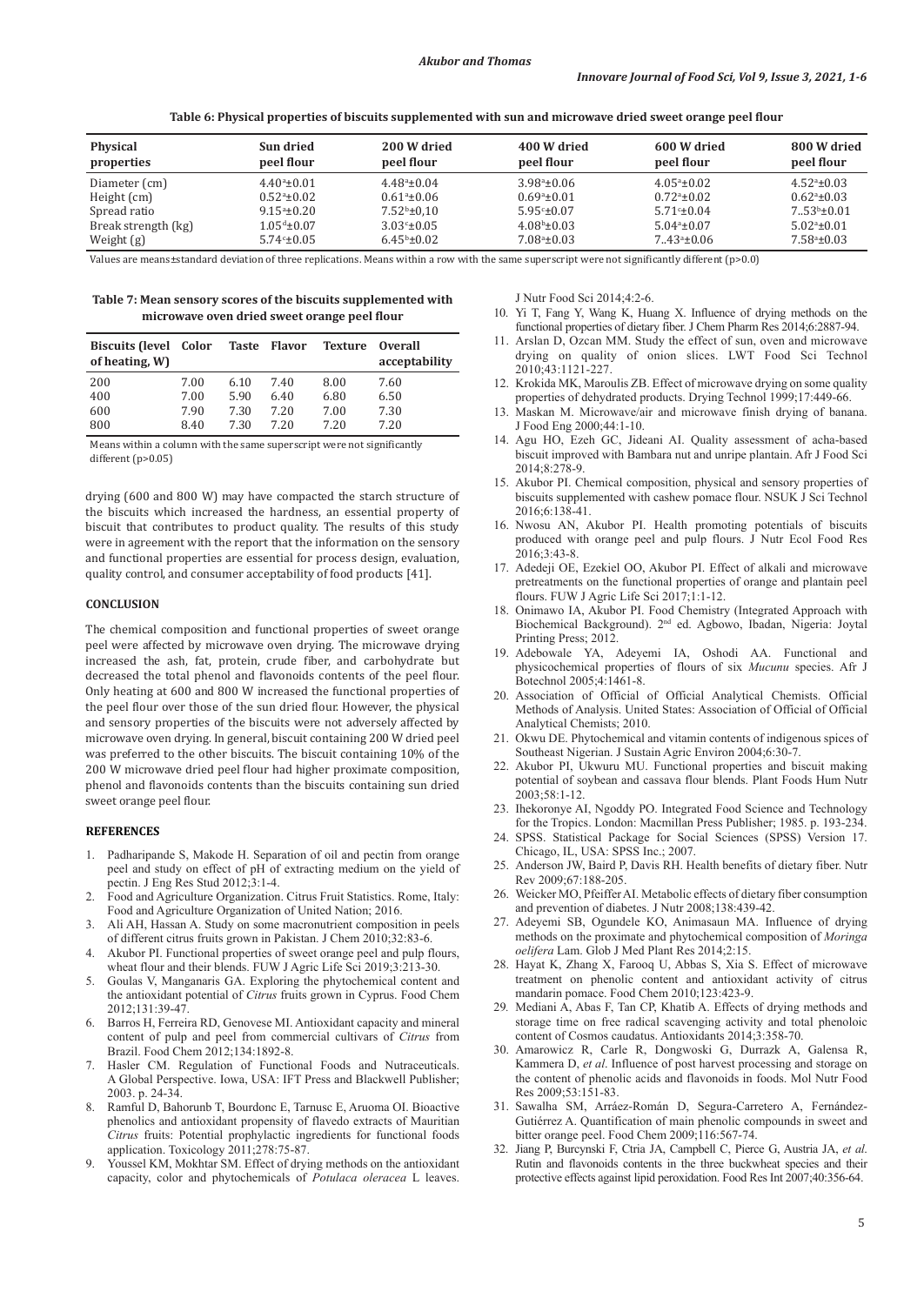**Table 6: Physical properties of biscuits supplemented with sun and microwave dried sweet orange peel flour**

| Physical<br>properties | Sun dried<br>peel flour    | 200 W dried<br>peel flour | 400 W dried<br>peel flour | 600 W dried<br>peel flour | 800 W dried<br>peel flour |
|------------------------|----------------------------|---------------------------|---------------------------|---------------------------|---------------------------|
| Diameter (cm)          | $4.40^{\circ}$ ±0.01       | $4.48^{\circ} \pm 0.04$   | $3.98^{\circ}$ ±0.06      | $4.05^{\circ} \pm 0.02$   | $4.52^{\circ} \pm 0.03$   |
| Height (cm)            | $0.52^{\circ}$ ±0.02       | $0.61^{\circ}$ ±0.06      | $0.69^{\circ}$ ±0.01      | $0.72a_{\pm}0.02$         | $0.62^{\circ}$ ±0.03      |
| Spread ratio           | $9.15^{\circ}$ ±0.20       | $7.52^b \pm 0.10$         | $5.95 - 0.07$             | $5.71 \pm 0.04$           | $7.53b \pm 0.01$          |
| Break strength (kg)    | $1.05^{\text{d}} \pm 0.07$ | $3.03 \pm 0.05$           | $4.08b \pm 0.03$          | $5.04a_{\pm}0.07$         | $5.02a_{\pm}0.01$         |
| Weight $(g)$           | $5.74c_{\pm}0.05$          | $6.45^{\rm b} \pm 0.02$   | $7.08^{\circ}$ ±0.03      | $7.43a_{\pm}0.06$         | $7.58^{\circ} \pm 0.03$   |

Values are means±standard deviation of three replications. Means within a row with the same superscript were not significantly different (p>0.0)

**Table 7: Mean sensory scores of the biscuits supplemented with microwave oven dried sweet orange peel flour**

| <b>Biscuits (level</b><br>of heating, W) | Color | <b>Taste</b> | Flavor | <b>Texture</b> | <b>Overall</b><br>acceptability |
|------------------------------------------|-------|--------------|--------|----------------|---------------------------------|
| 200                                      | 7.00  | 6.10         | 7.40   | 8.00           | 7.60                            |
| 400                                      | 7.00  | 5.90         | 6.40   | 6.80           | 6.50                            |
| 600                                      | 7.90  | 7.30         | 7.20   | 7.00           | 7.30                            |
| 800                                      | 8.40  | 7.30         | 7.20   | 7.20           | 7.20                            |

Means within a column with the same superscript were not significantly different (p>0.05)

drying (600 and 800 W) may have compacted the starch structure of the biscuits which increased the hardness, an essential property of biscuit that contributes to product quality. The results of this study were in agreement with the report that the information on the sensory and functional properties are essential for process design, evaluation, quality control, and consumer acceptability of food products [41].

## **CONCLUSION**

The chemical composition and functional properties of sweet orange peel were affected by microwave oven drying. The microwave drying increased the ash, fat, protein, crude fiber, and carbohydrate but decreased the total phenol and flavonoids contents of the peel flour. Only heating at 600 and 800 W increased the functional properties of the peel flour over those of the sun dried flour. However, the physical and sensory properties of the biscuits were not adversely affected by microwave oven drying. In general, biscuit containing 200 W dried peel was preferred to the other biscuits. The biscuit containing 10% of the 200 W microwave dried peel flour had higher proximate composition, phenol and flavonoids contents than the biscuits containing sun dried sweet orange peel flour.

#### **REFERENCES**

- 1. Padharipande S, Makode H. Separation of oil and pectin from orange peel and study on effect of pH of extracting medium on the yield of pectin. J Eng Res Stud 2012;3:1-4.
- 2. Food and Agriculture Organization. Citrus Fruit Statistics. Rome, Italy: Food and Agriculture Organization of United Nation; 2016.
- 3. Ali AH, Hassan A. Study on some macronutrient composition in peels of different citrus fruits grown in Pakistan. J Chem 2010;32:83-6.
- 4. Akubor PI. Functional properties of sweet orange peel and pulp flours, wheat flour and their blends. FUW J Agric Life Sci 2019;3:213-30.
- 5. Goulas V, Manganaris GA. Exploring the phytochemical content and the antioxidant potential of *Citrus* fruits grown in Cyprus. Food Chem 2012;131:39-47.
- 6. Barros H, Ferreira RD, Genovese MI. Antioxidant capacity and mineral content of pulp and peel from commercial cultivars of *Citrus* from Brazil. Food Chem 2012;134:1892-8.
- 7. Hasler CM. Regulation of Functional Foods and Nutraceuticals. A Global Perspective. Iowa, USA: IFT Press and Blackwell Publisher; 2003. p. 24-34.
- 8. Ramful D, Bahorunb T, Bourdonc E, Tarnusc E, Aruoma OI. Bioactive phenolics and antioxidant propensity of flavedo extracts of Mauritian *Citrus* fruits: Potential prophylactic ingredients for functional foods application. Toxicology 2011;278:75-87.
- 9. Youssel KM, Mokhtar SM. Effect of drying methods on the antioxidant capacity, color and phytochemicals of *Potulaca oleracea* L leaves.

J Nutr Food Sci 2014;4:2-6.

- 10. Yi T, Fang Y, Wang K, Huang X. Influence of drying methods on the functional properties of dietary fiber. J Chem Pharm Res 2014;6:2887-94.
- 11. Arslan D, Ozcan MM. Study the effect of sun, oven and microwave drying on quality of onion slices. LWT Food Sci Technol 2010;43:1121-227.
- 12. Krokida MK, Maroulis ZB. Effect of microwave drying on some quality properties of dehydrated products. Drying Technol 1999;17:449-66.
- 13. Maskan M. Microwave/air and microwave finish drying of banana. J Food Eng 2000;44:1-10.
- 14. Agu HO, Ezeh GC, Jideani AI. Quality assessment of acha-based biscuit improved with Bambara nut and unripe plantain. Afr J Food Sci 2014;8:278-9.
- 15. Akubor PI. Chemical composition, physical and sensory properties of biscuits supplemented with cashew pomace flour. NSUK J Sci Technol 2016;6:138-41.
- 16. Nwosu AN, Akubor PI. Health promoting potentials of biscuits produced with orange peel and pulp flours. J Nutr Ecol Food Res 2016;3:43-8.
- 17. Adedeji OE, Ezekiel OO, Akubor PI. Effect of alkali and microwave pretreatments on the functional properties of orange and plantain peel flours. FUW J Agric Life Sci 2017;1:1-12.
- 18. Onimawo IA, Akubor PI. Food Chemistry (Integrated Approach with Biochemical Background). 2nd ed. Agbowo, Ibadan, Nigeria: Joytal Printing Press; 2012.
- 19. Adebowale YA, Adeyemi IA, Oshodi AA. Functional and physicochemical properties of flours of six *Mucunu* species. Afr J Botechnol 2005;4:1461-8.
- 20. Association of Official of Official Analytical Chemists. Official Methods of Analysis. United States: Association of Official of Official Analytical Chemists; 2010.
- 21. Okwu DE. Phytochemical and vitamin contents of indigenous spices of Southeast Nigerian. J Sustain Agric Environ 2004;6:30-7.
- Akubor PI, Ukwuru MU. Functional properties and biscuit making potential of soybean and cassava flour blends. Plant Foods Hum Nutr 2003;58:1-12.
- 23. Ihekoronye AI, Ngoddy PO. Integrated Food Science and Technology for the Tropics. London: Macmillan Press Publisher; 1985. p. 193-234.
- 24. SPSS. Statistical Package for Social Sciences (SPSS) Version 17. Chicago, IL, USA: SPSS Inc.; 2007.
- 25. Anderson JW, Baird P, Davis RH. Health benefits of dietary fiber. Nutr Rev 2009;67:188-205.
- 26. Weicker MO, Pfeiffer AI. Metabolic effects of dietary fiber consumption and prevention of diabetes. J Nutr 2008;138:439-42.
- 27. Adeyemi SB, Ogundele KO, Animasaun MA. Influence of drying methods on the proximate and phytochemical composition of *Moringa oelifera* Lam. Glob J Med Plant Res 2014;2:15.
- 28. Hayat K, Zhang X, Farooq U, Abbas S, Xia S. Effect of microwave treatment on phenolic content and antioxidant activity of citrus mandarin pomace. Food Chem 2010;123:423-9.
- 29*.* Mediani A, Abas F, Tan CP, Khatib A. Effects of drying methods and storage time on free radical scavenging activity and total phenoloic content of Cosmos caudatus. Antioxidants 2014;3:358-70.
- 30. Amarowicz R, Carle R, Dongwoski G, Durrazk A, Galensa R, Kammera D, *et al*. Influence of post harvest processing and storage on the content of phenolic acids and flavonoids in foods. Mol Nutr Food Res 2009;53:151-83.
- 31. Sawalha SM, Arráez-Román D, Segura-Carretero A, Fernández-Gutiérrez A. Quantification of main phenolic compounds in sweet and bitter orange peel. Food Chem 2009;116:567-74.
- 32. Jiang P, Burcynski F, Ctria JA, Campbell C, Pierce G, Austria JA, *et al*. Rutin and flavonoids contents in the three buckwheat species and their protective effects against lipid peroxidation. Food Res Int 2007;40:356-64.